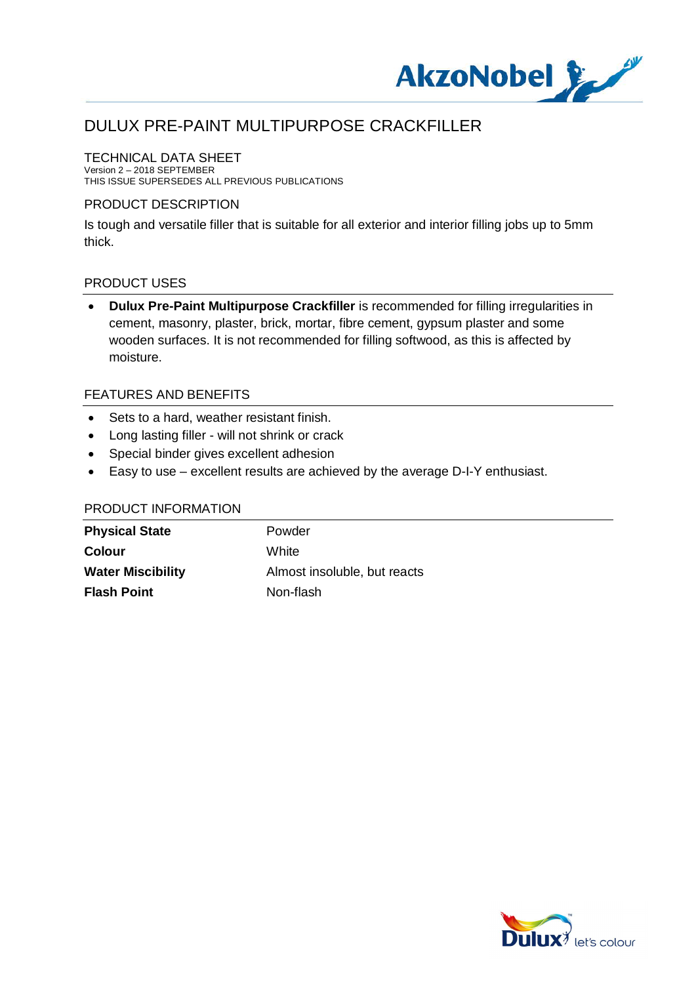

### TECHNICAL DATA SHEET

Version 2 – 2018 SEPTEMBER THIS ISSUE SUPERSEDES ALL PREVIOUS PUBLICATIONS

#### PRODUCT DESCRIPTION

Is tough and versatile filler that is suitable for all exterior and interior filling jobs up to 5mm thick.

#### PRODUCT USES

· **Dulux Pre-Paint Multipurpose Crackfiller** is recommended for filling irregularities in cement, masonry, plaster, brick, mortar, fibre cement, gypsum plaster and some wooden surfaces. It is not recommended for filling softwood, as this is affected by moisture.

#### FEATURES AND BENEFITS

- · Sets to a hard, weather resistant finish.
- · Long lasting filler will not shrink or crack
- · Special binder gives excellent adhesion
- · Easy to use excellent results are achieved by the average D-I-Y enthusiast.

| <b>Physical State</b>    | Powder                       |
|--------------------------|------------------------------|
| <b>Colour</b>            | White                        |
| <b>Water Miscibility</b> | Almost insoluble, but reacts |
| <b>Flash Point</b>       | Non-flash                    |

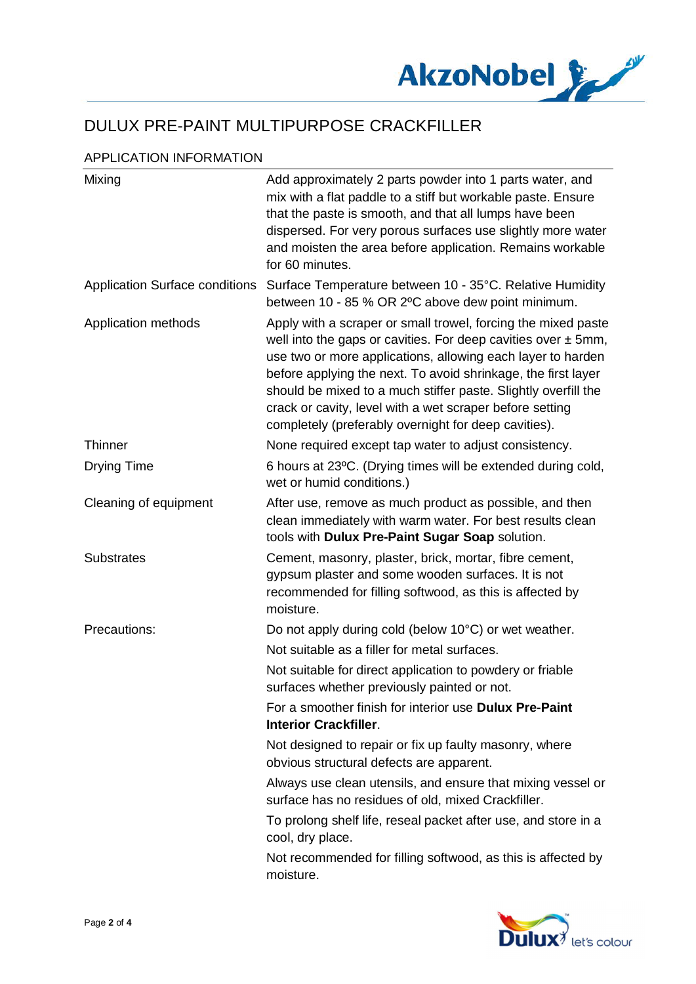

### APPLICATION INFORMATION

| Mixing                                | Add approximately 2 parts powder into 1 parts water, and<br>mix with a flat paddle to a stiff but workable paste. Ensure<br>that the paste is smooth, and that all lumps have been<br>dispersed. For very porous surfaces use slightly more water<br>and moisten the area before application. Remains workable<br>for 60 minutes.                                                                                                                        |
|---------------------------------------|----------------------------------------------------------------------------------------------------------------------------------------------------------------------------------------------------------------------------------------------------------------------------------------------------------------------------------------------------------------------------------------------------------------------------------------------------------|
| <b>Application Surface conditions</b> | Surface Temperature between 10 - 35°C. Relative Humidity<br>between 10 - 85 % OR 2°C above dew point minimum.                                                                                                                                                                                                                                                                                                                                            |
| Application methods                   | Apply with a scraper or small trowel, forcing the mixed paste<br>well into the gaps or cavities. For deep cavities over $\pm$ 5mm,<br>use two or more applications, allowing each layer to harden<br>before applying the next. To avoid shrinkage, the first layer<br>should be mixed to a much stiffer paste. Slightly overfill the<br>crack or cavity, level with a wet scraper before setting<br>completely (preferably overnight for deep cavities). |
| <b>Thinner</b>                        | None required except tap water to adjust consistency.                                                                                                                                                                                                                                                                                                                                                                                                    |
| <b>Drying Time</b>                    | 6 hours at 23°C. (Drying times will be extended during cold,<br>wet or humid conditions.)                                                                                                                                                                                                                                                                                                                                                                |
| Cleaning of equipment                 | After use, remove as much product as possible, and then<br>clean immediately with warm water. For best results clean<br>tools with Dulux Pre-Paint Sugar Soap solution.                                                                                                                                                                                                                                                                                  |
| <b>Substrates</b>                     | Cement, masonry, plaster, brick, mortar, fibre cement,<br>gypsum plaster and some wooden surfaces. It is not<br>recommended for filling softwood, as this is affected by<br>moisture.                                                                                                                                                                                                                                                                    |
| Precautions:                          | Do not apply during cold (below 10°C) or wet weather.                                                                                                                                                                                                                                                                                                                                                                                                    |
|                                       | Not suitable as a filler for metal surfaces.                                                                                                                                                                                                                                                                                                                                                                                                             |
|                                       | Not suitable for direct application to powdery or friable<br>surfaces whether previously painted or not.                                                                                                                                                                                                                                                                                                                                                 |
|                                       | For a smoother finish for interior use Dulux Pre-Paint<br><b>Interior Crackfiller.</b>                                                                                                                                                                                                                                                                                                                                                                   |
|                                       | Not designed to repair or fix up faulty masonry, where<br>obvious structural defects are apparent.                                                                                                                                                                                                                                                                                                                                                       |
|                                       | Always use clean utensils, and ensure that mixing vessel or<br>surface has no residues of old, mixed Crackfiller.                                                                                                                                                                                                                                                                                                                                        |
|                                       | To prolong shelf life, reseal packet after use, and store in a<br>cool, dry place.                                                                                                                                                                                                                                                                                                                                                                       |
|                                       | Not recommended for filling softwood, as this is affected by<br>moisture.                                                                                                                                                                                                                                                                                                                                                                                |

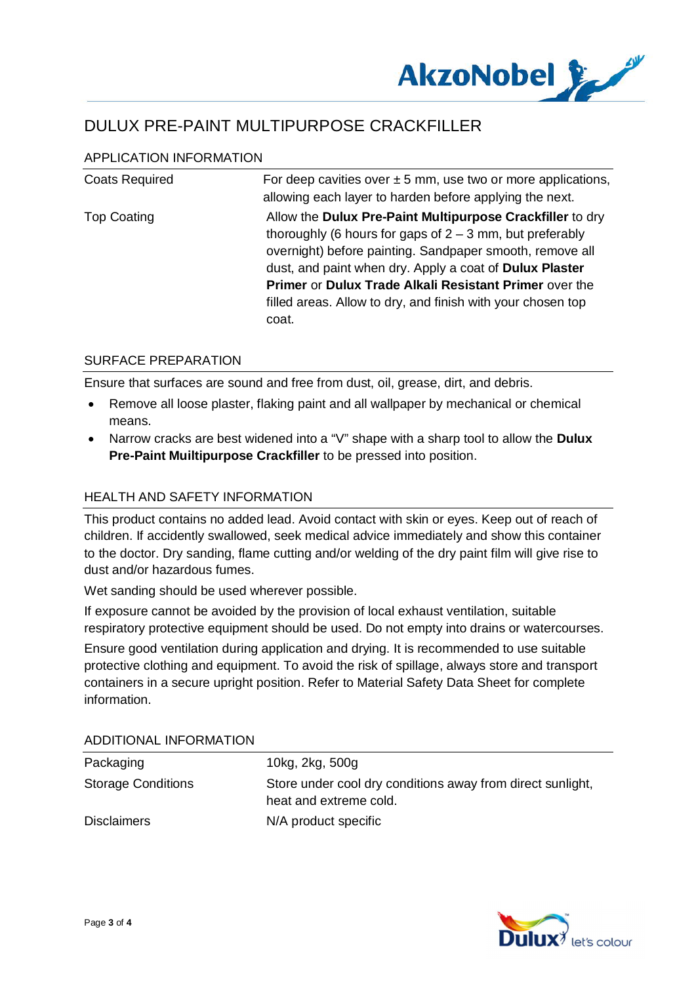

### APPLICATION INFORMATION

| <b>Coats Required</b> | For deep cavities over $\pm 5$ mm, use two or more applications,<br>allowing each layer to harden before applying the next.                                                                                                                                                                                                       |
|-----------------------|-----------------------------------------------------------------------------------------------------------------------------------------------------------------------------------------------------------------------------------------------------------------------------------------------------------------------------------|
| <b>Top Coating</b>    | Allow the Dulux Pre-Paint Multipurpose Crackfiller to dry                                                                                                                                                                                                                                                                         |
|                       | thoroughly (6 hours for gaps of $2 - 3$ mm, but preferably<br>overnight) before painting. Sandpaper smooth, remove all<br>dust, and paint when dry. Apply a coat of <b>Dulux Plaster</b><br><b>Primer or Dulux Trade Alkali Resistant Primer over the</b><br>filled areas. Allow to dry, and finish with your chosen top<br>coat. |

#### SURFACE PREPARATION

Ensure that surfaces are sound and free from dust, oil, grease, dirt, and debris.

- · Remove all loose plaster, flaking paint and all wallpaper by mechanical or chemical means.
- · Narrow cracks are best widened into a "V" shape with a sharp tool to allow the **Dulux Pre-Paint Muiltipurpose Crackfiller** to be pressed into position.

### HEALTH AND SAFFTY INFORMATION

This product contains no added lead. Avoid contact with skin or eyes. Keep out of reach of children. If accidently swallowed, seek medical advice immediately and show this container to the doctor. Dry sanding, flame cutting and/or welding of the dry paint film will give rise to dust and/or hazardous fumes.

Wet sanding should be used wherever possible.

If exposure cannot be avoided by the provision of local exhaust ventilation, suitable respiratory protective equipment should be used. Do not empty into drains or watercourses.

Ensure good ventilation during application and drying. It is recommended to use suitable protective clothing and equipment. To avoid the risk of spillage, always store and transport containers in a secure upright position. Refer to Material Safety Data Sheet for complete information.

## Packaging 2kg, 300g Storage Conditions Store under cool dry conditions away from direct sunlight, heat and extreme cold. Disclaimers N/A product specific

#### ADDITIONAL INFORMATION